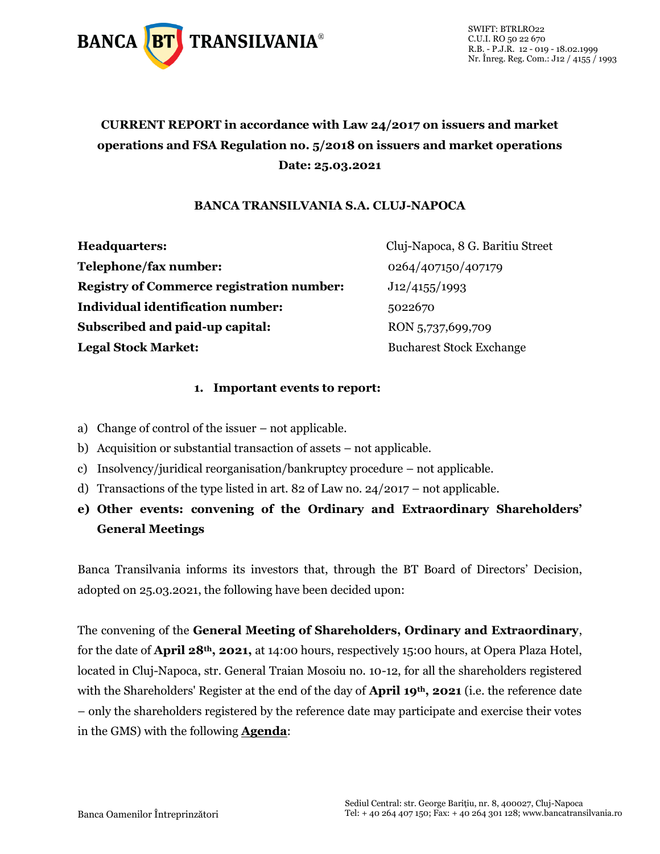

## **CURRENT REPORT in accordance with Law 24/2017 on issuers and market operations and FSA Regulation no. 5/2018 on issuers and market operations Date: 25.03.2021**

#### **BANCA TRANSILVANIA S.A. CLUJ-NAPOCA**

| <b>Headquarters:</b>                             |
|--------------------------------------------------|
| Telephone/fax number:                            |
| <b>Registry of Commerce registration number:</b> |
| <b>Individual identification number:</b>         |
| Subscribed and paid-up capital:                  |
| <b>Legal Stock Market:</b>                       |

**Headquarters:** Cluj-Napoca, 8 G. Baritiu Street **Telephone/fax number:** 0264/407150/407179 **Registry of Commerce registration number:** J12/4155/1993 **Individual identification number:** 5022670 **Subscribed and paid-up capital:** RON 5,737,699,709 **Legal Stock Market:** Bucharest Stock Exchange

#### **1. Important events to report:**

- a) Change of control of the issuer not applicable.
- b) Acquisition or substantial transaction of assets not applicable.
- c) Insolvency/juridical reorganisation/bankruptcy procedure not applicable.
- d) Transactions of the type listed in art. 82 of Law no.  $24/2017$  not applicable.
- **e) Other events: convening of the Ordinary and Extraordinary Shareholders' General Meetings**

Banca Transilvania informs its investors that, through the BT Board of Directors' Decision, adopted on 25.03.2021, the following have been decided upon:

The convening of the **General Meeting of Shareholders, Ordinary and Extraordinary**, for the date of **April 28th, 2021,** at 14:00 hours, respectively 15:00 hours, at Opera Plaza Hotel, located in Cluj-Napoca, str. General Traian Mosoiu no. 10-12, for all the shareholders registered with the Shareholders' Register at the end of the day of **April 19th, 2021** (i.e. the reference date – only the shareholders registered by the reference date may participate and exercise their votes in the GMS) with the following **Agenda**: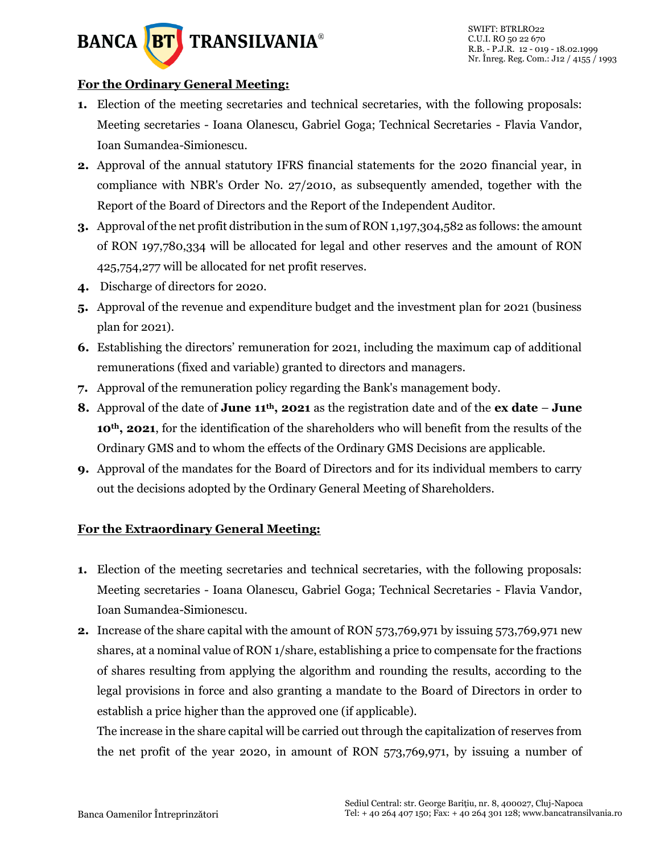

#### **For the Ordinary General Meeting:**

- **1.** Election of the meeting secretaries and technical secretaries, with the following proposals: Meeting secretaries - Ioana Olanescu, Gabriel Goga; Technical Secretaries - Flavia Vandor, Ioan Sumandea-Simionescu.
- **2.** Approval of the annual statutory IFRS financial statements for the 2020 financial year, in compliance with NBR's Order No. 27/2010, as subsequently amended, together with the Report of the Board of Directors and the Report of the Independent Auditor.
- **3.** Approval of the net profit distribution in the sum of RON 1,197,304,582 as follows: the amount of RON 197,780,334 will be allocated for legal and other reserves and the amount of RON 425,754,277 will be allocated for net profit reserves.
- **4.** Discharge of directors for 2020.
- **5.** Approval of the revenue and expenditure budget and the investment plan for 2021 (business plan for 2021).
- **6.** Establishing the directors' remuneration for 2021, including the maximum cap of additional remunerations (fixed and variable) granted to directors and managers.
- **7.** Approval of the remuneration policy regarding the Bank's management body.
- **8.** Approval of the date of **June 11th, 2021** as the registration date and of the **ex date June 10th, 2021**, for the identification of the shareholders who will benefit from the results of the Ordinary GMS and to whom the effects of the Ordinary GMS Decisions are applicable.
- **9.** Approval of the mandates for the Board of Directors and for its individual members to carry out the decisions adopted by the Ordinary General Meeting of Shareholders.

#### **For the Extraordinary General Meeting:**

- **1.** Election of the meeting secretaries and technical secretaries, with the following proposals: Meeting secretaries - Ioana Olanescu, Gabriel Goga; Technical Secretaries - Flavia Vandor, Ioan Sumandea-Simionescu.
- **2.** Increase of the share capital with the amount of RON 573,769,971 by issuing 573,769,971 new shares, at a nominal value of RON 1/share, establishing a price to compensate for the fractions of shares resulting from applying the algorithm and rounding the results, according to the legal provisions in force and also granting a mandate to the Board of Directors in order to establish a price higher than the approved one (if applicable).

The increase in the share capital will be carried out through the capitalization of reserves from the net profit of the year 2020, in amount of RON 573,769,971, by issuing a number of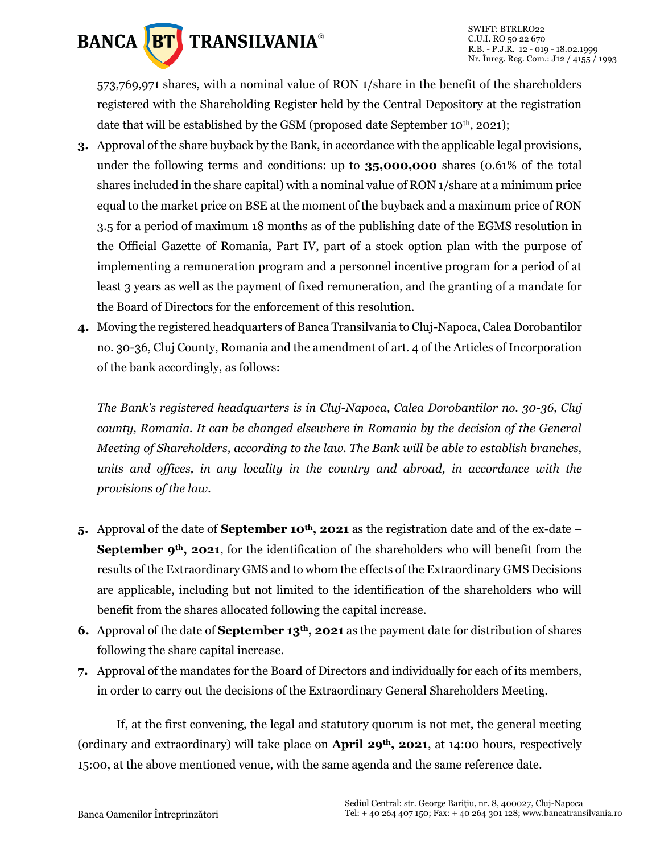

573,769,971 shares, with a nominal value of RON 1/share in the benefit of the shareholders registered with the Shareholding Register held by the Central Depository at the registration date that will be established by the GSM (proposed date September 10<sup>th</sup>, 2021);

- **3.** Approval of the share buyback by the Bank, in accordance with the applicable legal provisions, under the following terms and conditions: up to **35,000,000** shares (0.61% of the total shares included in the share capital) with a nominal value of RON 1/share at a minimum price equal to the market price on BSE at the moment of the buyback and a maximum price of RON 3.5 for a period of maximum 18 months as of the publishing date of the EGMS resolution in the Official Gazette of Romania, Part IV, part of a stock option plan with the purpose of implementing a remuneration program and a personnel incentive program for a period of at least 3 years as well as the payment of fixed remuneration, and the granting of a mandate for the Board of Directors for the enforcement of this resolution.
- **4.** Moving the registered headquarters of Banca Transilvania to Cluj-Napoca, Calea Dorobantilor no. 30-36, Cluj County, Romania and the amendment of art. 4 of the Articles of Incorporation of the bank accordingly, as follows:

*The Bank's registered headquarters is in Cluj-Napoca, Calea Dorobantilor no. 30-36, Cluj county, Romania. It can be changed elsewhere in Romania by the decision of the General Meeting of Shareholders, according to the law. The Bank will be able to establish branches, units and offices, in any locality in the country and abroad, in accordance with the provisions of the law.*

- **5.** Approval of the date of **September 10th, 2021** as the registration date and of the ex-date **September 9th, 2021**, for the identification of the shareholders who will benefit from the results of the Extraordinary GMS and to whom the effects of the Extraordinary GMS Decisions are applicable, including but not limited to the identification of the shareholders who will benefit from the shares allocated following the capital increase.
- **6.** Approval of the date of **September 13th, 2021** as the payment date for distribution of shares following the share capital increase.
- **7.** Approval of the mandates for the Board of Directors and individually for each of its members, in order to carry out the decisions of the Extraordinary General Shareholders Meeting.

If, at the first convening, the legal and statutory quorum is not met, the general meeting (ordinary and extraordinary) will take place on **April 29th, 2021**, at 14:00 hours, respectively 15:00, at the above mentioned venue, with the same agenda and the same reference date.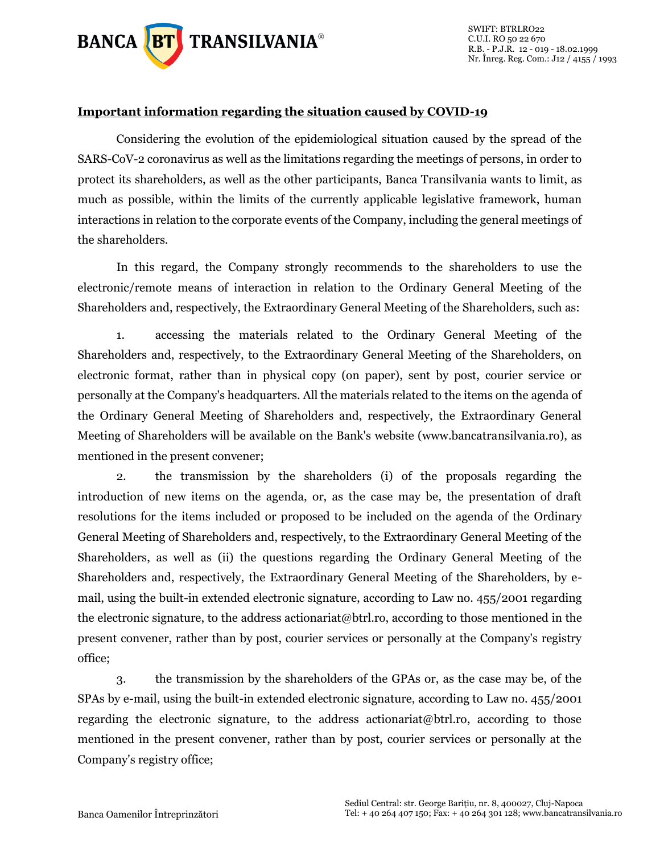

#### **Important information regarding the situation caused by COVID-19**

Considering the evolution of the epidemiological situation caused by the spread of the SARS-CoV-2 coronavirus as well as the limitations regarding the meetings of persons, in order to protect its shareholders, as well as the other participants, Banca Transilvania wants to limit, as much as possible, within the limits of the currently applicable legislative framework, human interactions in relation to the corporate events of the Company, including the general meetings of the shareholders.

In this regard, the Company strongly recommends to the shareholders to use the electronic/remote means of interaction in relation to the Ordinary General Meeting of the Shareholders and, respectively, the Extraordinary General Meeting of the Shareholders, such as:

1. accessing the materials related to the Ordinary General Meeting of the Shareholders and, respectively, to the Extraordinary General Meeting of the Shareholders, on electronic format, rather than in physical copy (on paper), sent by post, courier service or personally at the Company's headquarters. All the materials related to the items on the agenda of the Ordinary General Meeting of Shareholders and, respectively, the Extraordinary General Meeting of Shareholders will be available on the Bank's website (www.bancatransilvania.ro), as mentioned in the present convener;

2. the transmission by the shareholders (i) of the proposals regarding the introduction of new items on the agenda, or, as the case may be, the presentation of draft resolutions for the items included or proposed to be included on the agenda of the Ordinary General Meeting of Shareholders and, respectively, to the Extraordinary General Meeting of the Shareholders, as well as (ii) the questions regarding the Ordinary General Meeting of the Shareholders and, respectively, the Extraordinary General Meeting of the Shareholders, by email, using the built-in extended electronic signature, according to Law no. 455/2001 regarding the electronic signature, to the address actionariat@btrl.ro, according to those mentioned in the present convener, rather than by post, courier services or personally at the Company's registry office;

3. the transmission by the shareholders of the GPAs or, as the case may be, of the SPAs by e-mail, using the built-in extended electronic signature, according to Law no. 455/2001 regarding the electronic signature, to the address actionariat@btrl.ro, according to those mentioned in the present convener, rather than by post, courier services or personally at the Company's registry office;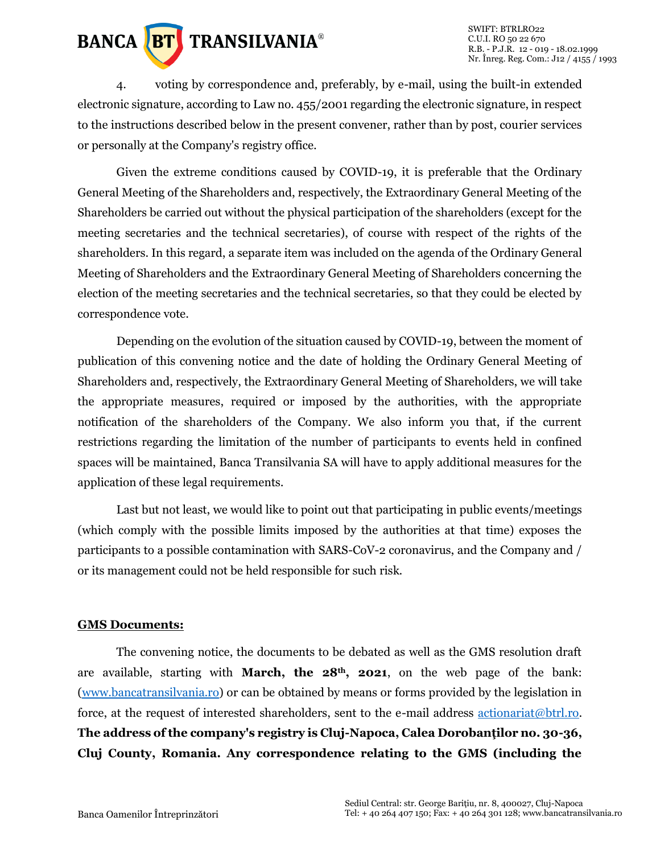

SWIFT: BTRLRO22 C.U.I. RO 50 22 670 R.B. - P.J.R. 12 - 019 - 18.02.1999 Nr. Înreg. Reg. Com.: J12 / 4155 / 1993

4. voting by correspondence and, preferably, by e-mail, using the built-in extended electronic signature, according to Law no. 455/2001 regarding the electronic signature, in respect to the instructions described below in the present convener, rather than by post, courier services or personally at the Company's registry office.

Given the extreme conditions caused by COVID-19, it is preferable that the Ordinary General Meeting of the Shareholders and, respectively, the Extraordinary General Meeting of the Shareholders be carried out without the physical participation of the shareholders (except for the meeting secretaries and the technical secretaries), of course with respect of the rights of the shareholders. In this regard, a separate item was included on the agenda of the Ordinary General Meeting of Shareholders and the Extraordinary General Meeting of Shareholders concerning the election of the meeting secretaries and the technical secretaries, so that they could be elected by correspondence vote.

Depending on the evolution of the situation caused by COVID-19, between the moment of publication of this convening notice and the date of holding the Ordinary General Meeting of Shareholders and, respectively, the Extraordinary General Meeting of Shareholders, we will take the appropriate measures, required or imposed by the authorities, with the appropriate notification of the shareholders of the Company. We also inform you that, if the current restrictions regarding the limitation of the number of participants to events held in confined spaces will be maintained, Banca Transilvania SA will have to apply additional measures for the application of these legal requirements.

Last but not least, we would like to point out that participating in public events/meetings (which comply with the possible limits imposed by the authorities at that time) exposes the participants to a possible contamination with SARS-CoV-2 coronavirus, and the Company and / or its management could not be held responsible for such risk.

#### **GMS Documents:**

The convening notice, the documents to be debated as well as the GMS resolution draft are available, starting with **March, the 28th, 2021**, on the web page of the bank: [\(www.bancatransilvania.ro\)](http://www.bancatransilvania.ro/) or can be obtained by means or forms provided by the legislation in force, at the request of interested shareholders, sent to the e-mail address [actionariat@btrl.ro.](mailto:actionariat@btrl.ro) **The address of the company's registry is Cluj-Napoca, Calea Dorobanţilor no. 30-36, Cluj County, Romania. Any correspondence relating to the GMS (including the**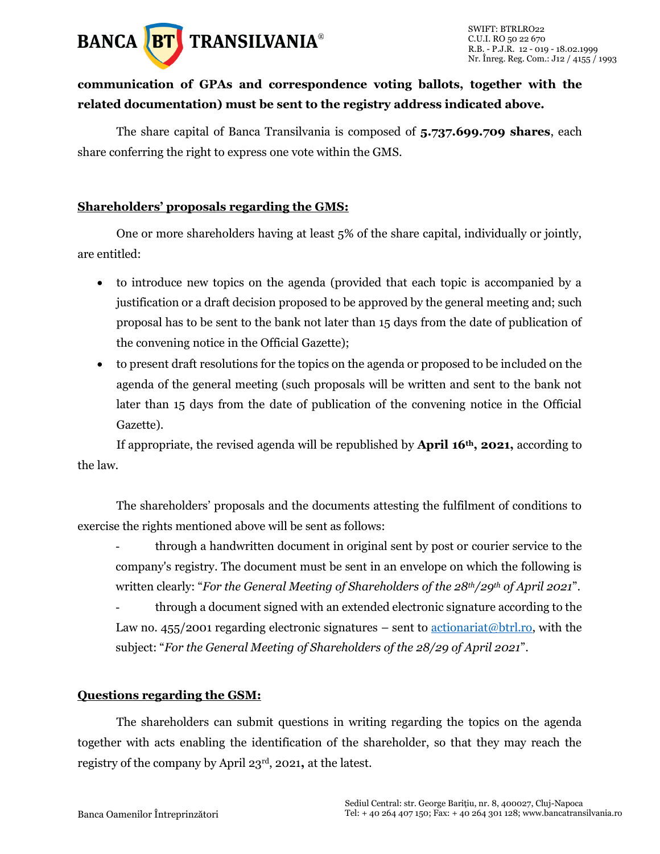

### **communication of GPAs and correspondence voting ballots, together with the related documentation) must be sent to the registry address indicated above.**

The share capital of Banca Transilvania is composed of **5.737.699.709 shares**, each share conferring the right to express one vote within the GMS.

#### **Shareholders' proposals regarding the GMS:**

One or more shareholders having at least 5% of the share capital, individually or jointly, are entitled:

- to introduce new topics on the agenda (provided that each topic is accompanied by a justification or a draft decision proposed to be approved by the general meeting and; such proposal has to be sent to the bank not later than 15 days from the date of publication of the convening notice in the Official Gazette);
- to present draft resolutions for the topics on the agenda or proposed to be included on the agenda of the general meeting (such proposals will be written and sent to the bank not later than 15 days from the date of publication of the convening notice in the Official Gazette).

If appropriate, the revised agenda will be republished by **April 16th, 2021,** according to the law.

The shareholders' proposals and the documents attesting the fulfilment of conditions to exercise the rights mentioned above will be sent as follows:

- through a handwritten document in original sent by post or courier service to the company's registry. The document must be sent in an envelope on which the following is written clearly: "*For the General Meeting of Shareholders of the 28th/29th of April 2021*".

- through a document signed with an extended electronic signature according to the Law no. 455/2001 regarding electronic signatures – sent to  $\frac{\text{actionariat}(\omega \text{btrl},\text{ro}}{\text{v}}$ , with the subject: "*For the General Meeting of Shareholders of the 28/29 of April 2021*".

#### **Questions regarding the GSM:**

The shareholders can submit questions in writing regarding the topics on the agenda together with acts enabling the identification of the shareholder, so that they may reach the registry of the company by April 23rd, 2021**,** at the latest.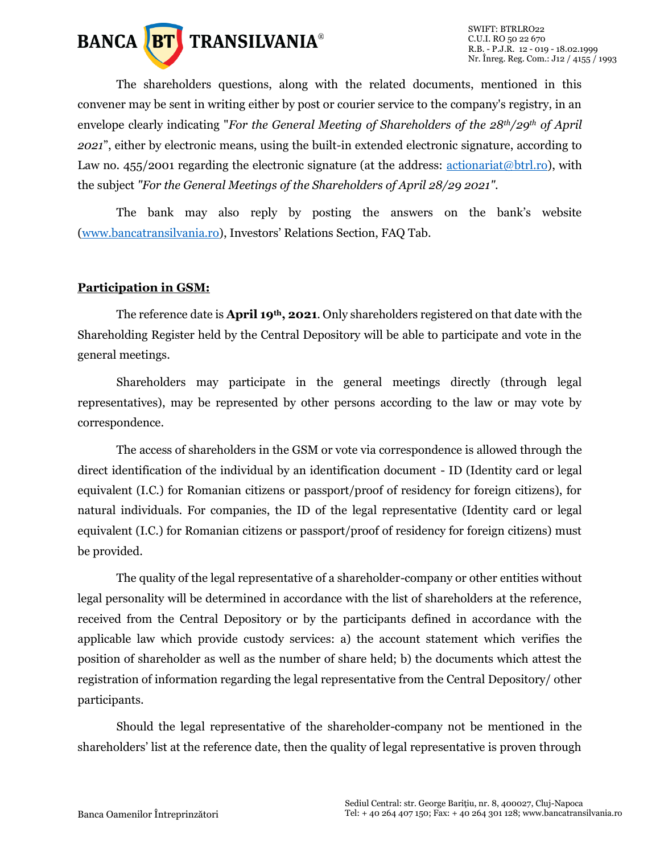

The shareholders questions, along with the related documents, mentioned in this convener may be sent in writing either by post or courier service to the company's registry, in an envelope clearly indicating "*For the General Meeting of Shareholders of the 28th/29th of April 2021*", either by electronic means, using the built-in extended electronic signature, according to Law no. 455/2001 regarding the electronic signature (at the address: [actionariat@btrl.ro\)](mailto:actionariat@btrl.ro), with the subject *"For the General Meetings of the Shareholders of April 28/29 2021"*.

The bank may also reply by posting the answers on the bank's website [\(www.bancatransilvania.ro](http://www.bancatransilvania.ro/)), Investors' Relations Section, FAQ Tab.

#### **Participation in GSM:**

The reference date is **April 19th, 2021**. Only shareholders registered on that date with the Shareholding Register held by the Central Depository will be able to participate and vote in the general meetings.

Shareholders may participate in the general meetings directly (through legal representatives), may be represented by other persons according to the law or may vote by correspondence.

The access of shareholders in the GSM or vote via correspondence is allowed through the direct identification of the individual by an identification document - ID (Identity card or legal equivalent (I.C.) for Romanian citizens or passport/proof of residency for foreign citizens), for natural individuals. For companies, the ID of the legal representative (Identity card or legal equivalent (I.C.) for Romanian citizens or passport/proof of residency for foreign citizens) must be provided.

The quality of the legal representative of a shareholder-company or other entities without legal personality will be determined in accordance with the list of shareholders at the reference, received from the Central Depository or by the participants defined in accordance with the applicable law which provide custody services: a) the account statement which verifies the position of shareholder as well as the number of share held; b) the documents which attest the registration of information regarding the legal representative from the Central Depository/ other participants.

Should the legal representative of the shareholder-company not be mentioned in the shareholders' list at the reference date, then the quality of legal representative is proven through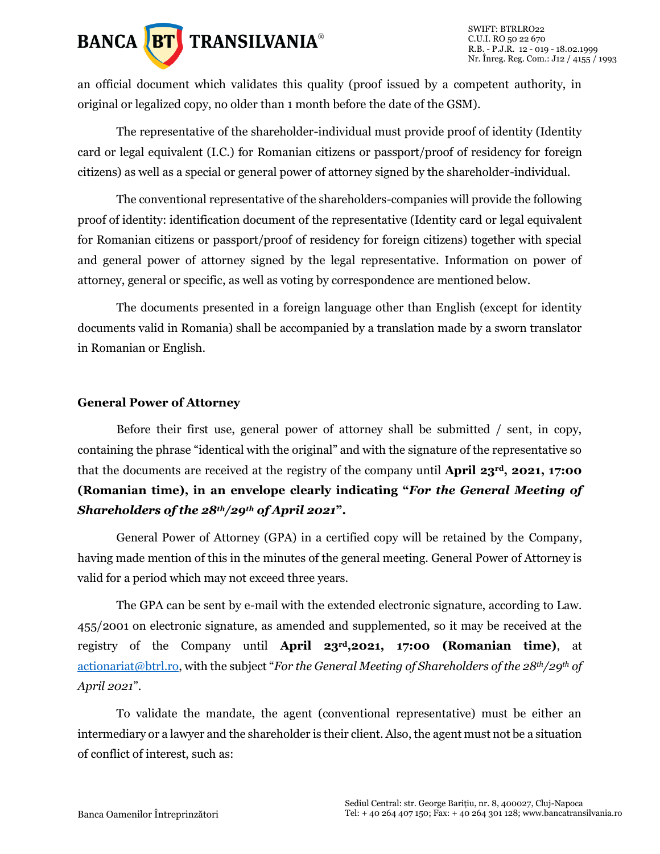

an official document which validates this quality (proof issued by a competent authority, in original or legalized copy, no older than 1 month before the date of the GSM).

The representative of the shareholder-individual must provide proof of identity (Identity card or legal equivalent (I.C.) for Romanian citizens or passport/proof of residency for foreign citizens) as well as a special or general power of attorney signed by the shareholder-individual.

The conventional representative of the shareholders-companies will provide the following proof of identity: identification document of the representative (Identity card or legal equivalent for Romanian citizens or passport/proof of residency for foreign citizens) together with special and general power of attorney signed by the legal representative. Information on power of attorney, general or specific, as well as voting by correspondence are mentioned below.

The documents presented in a foreign language other than English (except for identity documents valid in Romania) shall be accompanied by a translation made by a sworn translator in Romanian or English.

#### **General Power of Attorney**

Before their first use, general power of attorney shall be submitted / sent, in copy, containing the phrase "identical with the original" and with the signature of the representative so that the documents are received at the registry of the company until **April 23rd, 2021, 17:00 (Romanian time), in an envelope clearly indicating "***For the General Meeting of Shareholders of the 28th/29th of April 2021***".**

General Power of Attorney (GPA) in a certified copy will be retained by the Company, having made mention of this in the minutes of the general meeting. General Power of Attorney is valid for a period which may not exceed three years.

The GPA can be sent by e-mail with the extended electronic signature, according to Law. 455/2001 on electronic signature, as amended and supplemented, so it may be received at the registry of the Company until **April 23rd,2021, 17:00 (Romanian time)**, at [actionariat@btrl.ro](mailto:actionariat@btrl.ro), with the subject "*For the General Meeting of Shareholders of the 28th/29th of April 2021*".

To validate the mandate, the agent (conventional representative) must be either an intermediary or a lawyer and the shareholder is their client. Also, the agent must not be a situation of conflict of interest, such as: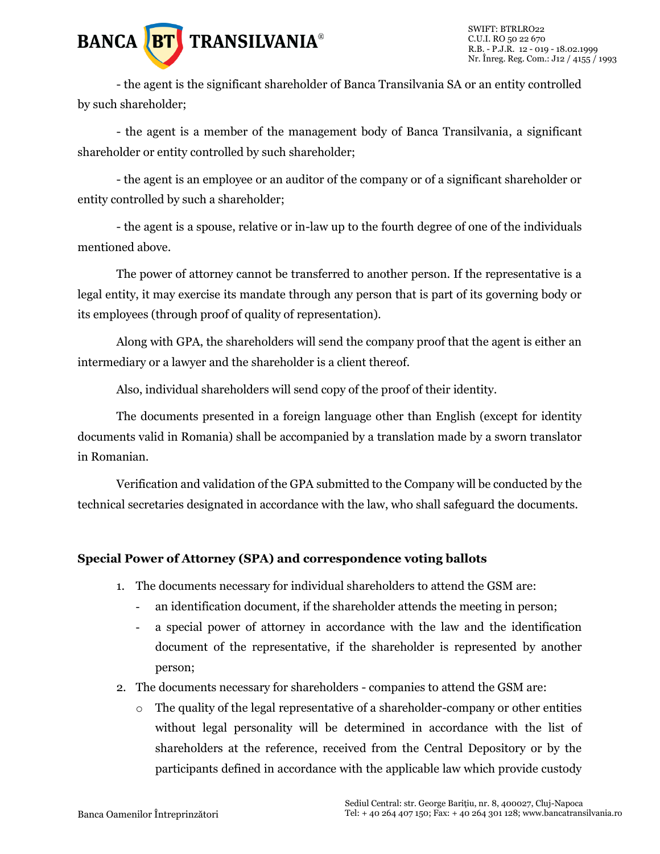

- the agent is the significant shareholder of Banca Transilvania SA or an entity controlled by such shareholder;

- the agent is a member of the management body of Banca Transilvania, a significant shareholder or entity controlled by such shareholder;

- the agent is an employee or an auditor of the company or of a significant shareholder or entity controlled by such a shareholder;

- the agent is a spouse, relative or in-law up to the fourth degree of one of the individuals mentioned above.

The power of attorney cannot be transferred to another person. If the representative is a legal entity, it may exercise its mandate through any person that is part of its governing body or its employees (through proof of quality of representation).

Along with GPA, the shareholders will send the company proof that the agent is either an intermediary or a lawyer and the shareholder is a client thereof.

Also, individual shareholders will send copy of the proof of their identity.

The documents presented in a foreign language other than English (except for identity documents valid in Romania) shall be accompanied by a translation made by a sworn translator in Romanian.

Verification and validation of the GPA submitted to the Company will be conducted by the technical secretaries designated in accordance with the law, who shall safeguard the documents.

#### **Special Power of Attorney (SPA) and correspondence voting ballots**

- 1. The documents necessary for individual shareholders to attend the GSM are:
	- an identification document, if the shareholder attends the meeting in person;
	- a special power of attorney in accordance with the law and the identification document of the representative, if the shareholder is represented by another person;
- 2. The documents necessary for shareholders companies to attend the GSM are:
	- $\circ$  The quality of the legal representative of a shareholder-company or other entities without legal personality will be determined in accordance with the list of shareholders at the reference, received from the Central Depository or by the participants defined in accordance with the applicable law which provide custody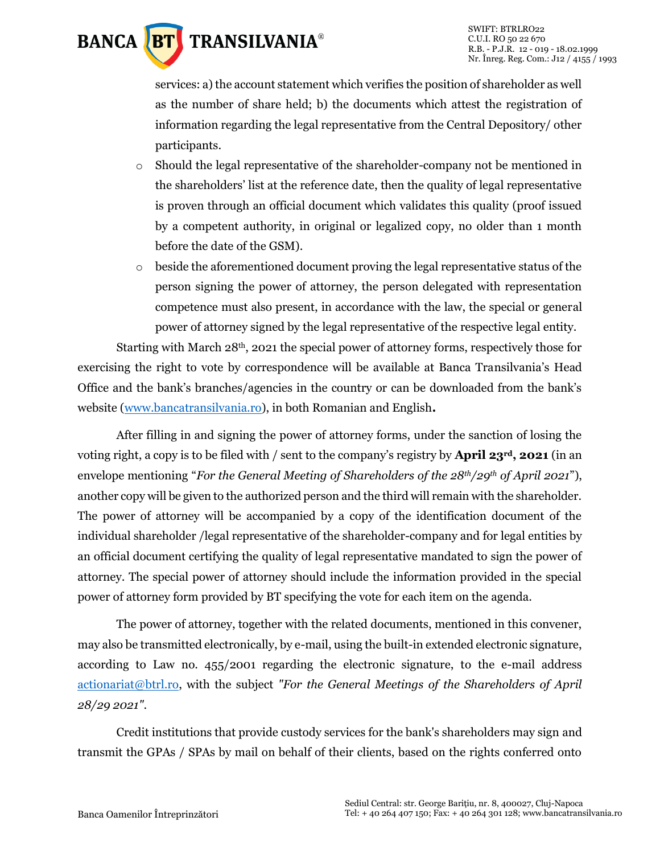

services: a) the account statement which verifies the position of shareholder as well as the number of share held; b) the documents which attest the registration of information regarding the legal representative from the Central Depository/ other participants.

- o Should the legal representative of the shareholder-company not be mentioned in the shareholders' list at the reference date, then the quality of legal representative is proven through an official document which validates this quality (proof issued by a competent authority, in original or legalized copy, no older than 1 month before the date of the GSM).
- o beside the aforementioned document proving the legal representative status of the person signing the power of attorney, the person delegated with representation competence must also present, in accordance with the law, the special or general power of attorney signed by the legal representative of the respective legal entity.

Starting with March 28th, 2021 the special power of attorney forms, respectively those for exercising the right to vote by correspondence will be available at Banca Transilvania's Head Office and the bank's branches/agencies in the country or can be downloaded from the bank's website [\(www.bancatransilvania.ro\)](http://www.bancatransilvania.ro/), in both Romanian and English**.**

After filling in and signing the power of attorney forms, under the sanction of losing the voting right, a copy is to be filed with / sent to the company's registry by **April 23rd, 2021** (in an envelope mentioning "*For the General Meeting of Shareholders of the 28th/29th of April 2021*"), another copy will be given to the authorized person and the third will remain with the shareholder. The power of attorney will be accompanied by a copy of the identification document of the individual shareholder /legal representative of the shareholder-company and for legal entities by an official document certifying the quality of legal representative mandated to sign the power of attorney. The special power of attorney should include the information provided in the special power of attorney form provided by BT specifying the vote for each item on the agenda.

The power of attorney, together with the related documents, mentioned in this convener, may also be transmitted electronically, by e-mail, using the built-in extended electronic signature, according to Law no. 455/2001 regarding the electronic signature, to the e-mail address [actionariat@btrl.ro,](mailto:actionariat@btrl.ro) with the subject *"For the General Meetings of the Shareholders of April 28/29 2021"*.

Credit institutions that provide custody services for the bank's shareholders may sign and transmit the GPAs / SPAs by mail on behalf of their clients, based on the rights conferred onto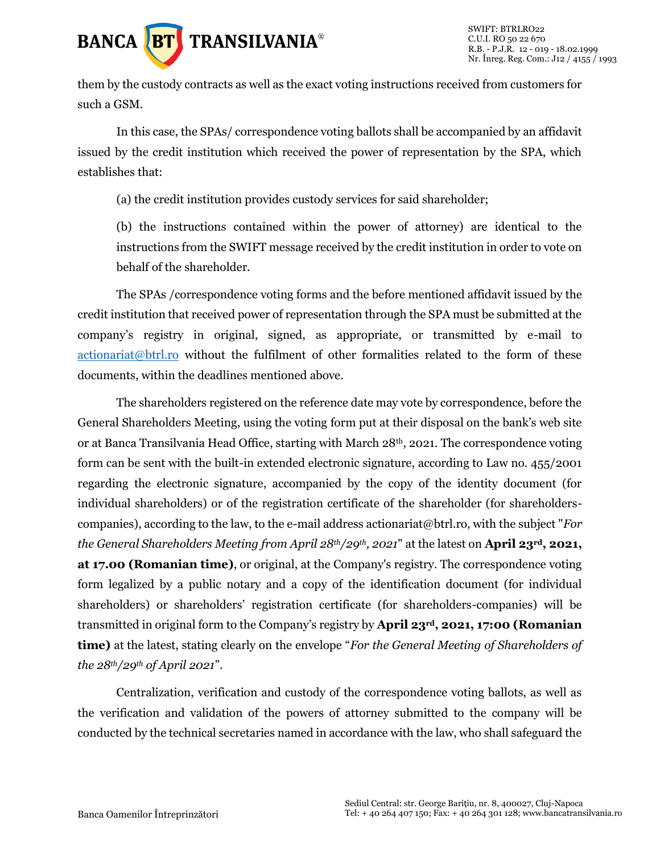

them by the custody contracts as well as the exact voting instructions received from customers for such a GSM.

In this case, the SPAs/ correspondence voting ballots shall be accompanied by an affidavit issued by the credit institution which received the power of representation by the SPA, which establishes that:

(a) the credit institution provides custody services for said shareholder;

(b) the instructions contained within the power of attorney) are identical to the instructions from the SWIFT message received by the credit institution in order to vote on behalf of the shareholder.

The SPAs /correspondence voting forms and the before mentioned affidavit issued by the credit institution that received power of representation through the SPA must be submitted at the company's registry in original, signed, as appropriate, or transmitted by e-mail to [actionariat@btrl.ro](mailto:actionariat@btrl.ro) without the fulfilment of other formalities related to the form of these documents, within the deadlines mentioned above.

The shareholders registered on the reference date may vote by correspondence, before the General Shareholders Meeting, using the voting form put at their disposal on the bank's web site or at Banca Transilvania Head Office, starting with March 28<sup>th</sup>, 2021. The correspondence voting form can be sent with the built-in extended electronic signature, according to Law no. 455/2001 regarding the electronic signature, accompanied by the copy of the identity document (for individual shareholders) or of the registration certificate of the shareholder (for shareholderscompanies), according to the law, to the e-mail address actionariat@btrl.ro, with the subject "*For the General Shareholders Meeting from April 28th/29th, 2021*" at the latest on **April 23rd, 2021, at 17.00 (Romanian time)**, or original, at the Company's registry. The correspondence voting form legalized by a public notary and a copy of the identification document (for individual shareholders) or shareholders' registration certificate (for shareholders-companies) will be transmitted in original form to the Company's registry by **April 23rd, 2021, 17:00 (Romanian time)** at the latest, stating clearly on the envelope "*For the General Meeting of Shareholders of the 28th/29th of April 2021*".

Centralization, verification and custody of the correspondence voting ballots, as well as the verification and validation of the powers of attorney submitted to the company will be conducted by the technical secretaries named in accordance with the law, who shall safeguard the